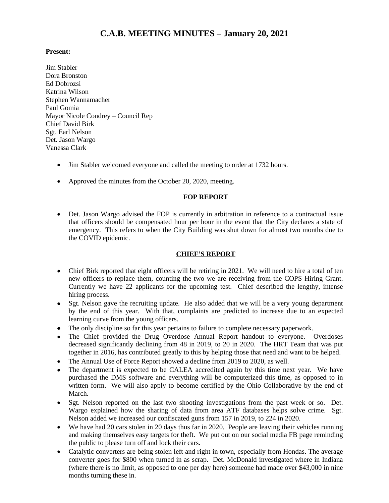# **C.A.B. MEETING MINUTES – January 20, 2021**

## **Present:**

- Jim Stabler Dora Bronston Ed Dobrozsi Katrina Wilson Stephen Wannamacher Paul Gomia Mayor Nicole Condrey – Council Rep Chief David Birk Sgt. Earl Nelson Det. Jason Wargo Vanessa Clark
	- Jim Stabler welcomed everyone and called the meeting to order at 1732 hours.
	- Approved the minutes from the October 20, 2020, meeting.

### **FOP REPORT**

 Det. Jason Wargo advised the FOP is currently in arbitration in reference to a contractual issue that officers should be compensated hour per hour in the event that the City declares a state of emergency. This refers to when the City Building was shut down for almost two months due to the COVID epidemic.

#### **CHIEF'S REPORT**

- Chief Birk reported that eight officers will be retiring in 2021. We will need to hire a total of ten new officers to replace them, counting the two we are receiving from the COPS Hiring Grant. Currently we have 22 applicants for the upcoming test. Chief described the lengthy, intense hiring process.
- Sgt. Nelson gave the recruiting update. He also added that we will be a very young department by the end of this year. With that, complaints are predicted to increase due to an expected learning curve from the young officers.
- The only discipline so far this year pertains to failure to complete necessary paperwork.
- The Chief provided the Drug Overdose Annual Report handout to everyone. Overdoses decreased significantly declining from 48 in 2019, to 20 in 2020. The HRT Team that was put together in 2016, has contributed greatly to this by helping those that need and want to be helped.
- The Annual Use of Force Report showed a decline from 2019 to 2020, as well.
- The department is expected to be CALEA accredited again by this time next year. We have purchased the DMS software and everything will be computerized this time, as opposed to in written form. We will also apply to become certified by the Ohio Collaborative by the end of March.
- Sgt. Nelson reported on the last two shooting investigations from the past week or so. Det. Wargo explained how the sharing of data from area ATF databases helps solve crime. Sgt. Nelson added we increased our confiscated guns from 157 in 2019, to 224 in 2020.
- We have had 20 cars stolen in 20 days thus far in 2020. People are leaving their vehicles running and making themselves easy targets for theft. We put out on our social media FB page reminding the public to please turn off and lock their cars.
- Catalytic converters are being stolen left and right in town, especially from Hondas. The average converter goes for \$800 when turned in as scrap. Det. McDonald investigated where in Indiana (where there is no limit, as opposed to one per day here) someone had made over \$43,000 in nine months turning these in.